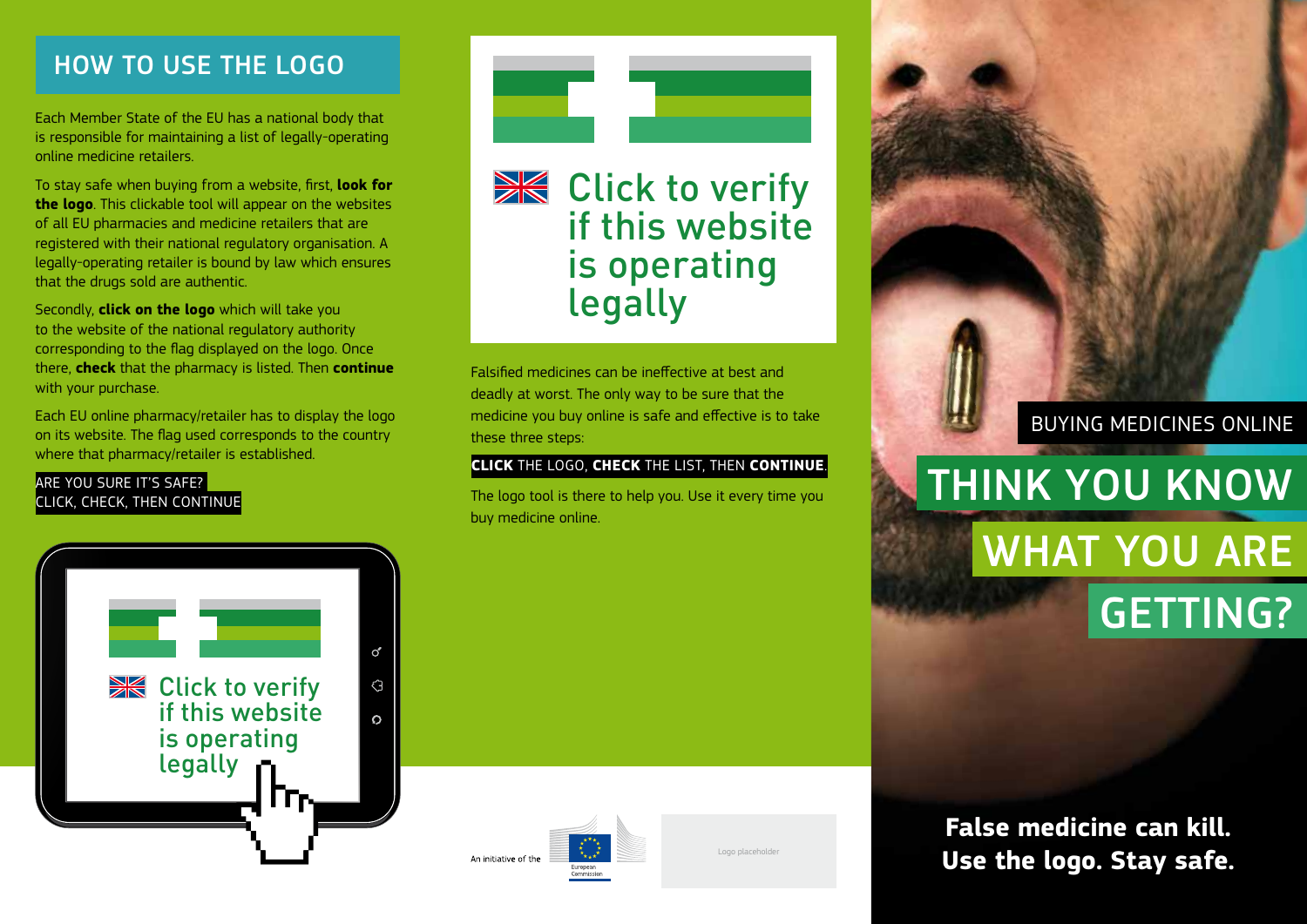## How to Use the Logo

Each Member State of the EU has a national body that is responsible for maintaining a list of legally-operating online medicine retailers.

To stay safe when buying from a website, first, **look for the logo**. This clickable tool will appear on the websites of all EU pharmacies and medicine retailers that are registered with their national regulatory organisation. A legally-operating retailer is bound by law which ensures that the drugs sold are authentic.

Secondly, **click on the logo** which will take you to the website of the national regulatory authority corresponding to the flag displayed on the logo. Once there, **check** that the pharmacy is listed. Then **continue** with your purchase.

Each EU online pharmacy/retailer has to display the logo on its website. The flag used corresponds to the country where that pharmacy/retailer is established.

#### ARE YOU SURE IT'S SAFE? Click, Check, then Continue



**XX** Click to verify if this website is operating legally

Falsified medicines can be ineffective at best and deadly at worst. The only way to be sure that the medicine you buy online is safe and effective is to take these three steps:

#### **Click** the logo, **check** the list, then **continue**.

The logo tool is there to help you. Use it every time you buy medicine online.



### Buying medicines OnlinE

# WHAT YOU ARE getting? Think you Know

 $\sigma'$ **XX** Click to verify  $\overline{G}$ if this website  $\Omega$ is operating legally Γгκ





**False medicine can kill. Logo placeholder Logo Case the logo. Stay safe.**